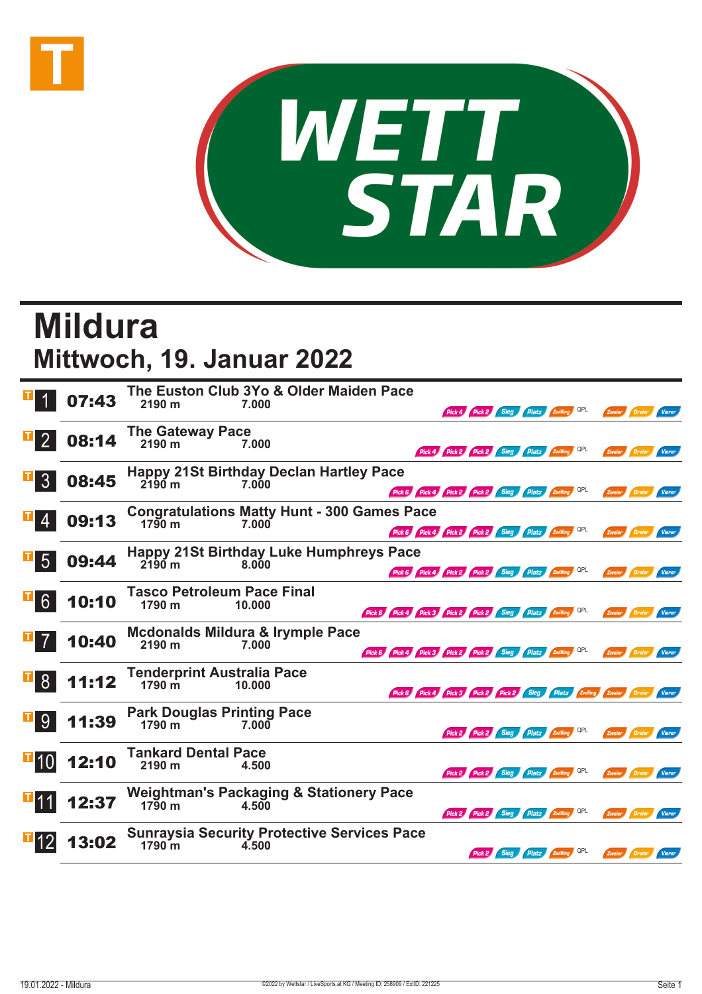



## **Mildura Mittwoch, 19. Januar 2022**

|                 | 07:43 | The Euston Club 3Yo & Older Maiden Pace<br>2190 m<br>7.000<br>Pick 4 Pick 2 Sieg Platz Zwilling QPL<br>Zweier Dreier<br>Vierer                                           |
|-----------------|-------|--------------------------------------------------------------------------------------------------------------------------------------------------------------------------|
| $\vert$ 2       | 08:14 | <b>The Gateway Pace</b><br>2190 m<br>7.000<br>Pick 4 Pick 2 Pick 2 Sieg Platz Zwilling QPL<br>Zweier Dreier<br>Vierer                                                    |
| 3 <sup>°</sup>  | 08:45 | <b>Happy 21St Birthday Declan Hartley Pace</b><br>$2190$ m<br>7.000<br>Pick 6 Pick 4 Pick 2 Pick 2 Sieg Platz Zwilling QPL<br>Zweier Dreier<br>Vierer                    |
|                 | 09:13 | <b>Congratulations Matty Hunt - 300 Games Pace</b><br>1790 m<br>7.000<br>Pick 6 Pick 4 Pick 2 Pick 2 Sieg Platz Zwilling QPL<br><b>Dreier</b><br>Zweier<br><b>Vierer</b> |
| 5 <sup>5</sup>  | 09:44 | <b>Happy 21St Birthday Luke Humphreys Pace</b><br>$2190$ m<br>8.000<br>Pick 6 Pick 4 Pick 2 Pick 2 Sieg Platz Zwilling QPL<br>Zweier<br>Dreier<br>Vierer                 |
| 6 <sup>1</sup>  | 10:10 | <b>Tasco Petroleum Pace Final</b><br>1790 m<br>10.000<br>Pick 6 Pick 4 Pick 3 Pick 2 Pick 2 Sieg Platz Zwilling QPL<br>Zweier Dreier Vierer                              |
| 7 <sup>1</sup>  | 10:40 | <b>Mcdonalds Mildura &amp; Irymple Pace</b><br>2190 m<br>7.000<br>Pick 6 Pick 4 Pick 3 Pick 2 Pick 2 Sieg Platz Zwilling QPL<br>Zweier Dreier<br>Vierer                  |
| 8 <sup>1</sup>  | 11:12 | <b>Tenderprint Australia Pace</b><br>$1790 \text{ m}$<br>10.000<br>Pick 6 Pick 4 Pick 3 Pick 2 Pick 2 Sieg Platz Zwilling Zweier Dreier Vierer                           |
| 9               | 11:39 | <b>Park Douglas Printing Pace</b><br>1790 m<br>7.000<br>Pick 2 Pick 2 Sieg Platz 2willing QPL<br>Zweier Dreier<br>Vierer                                                 |
| $\mathbf{H}$ 10 | 12:10 | <b>Tankard Dental Pace</b><br>2190 m<br>4.500<br>Pick 2 Pick 2 Sieg Platz Zwilling QPL<br>Zweier Dreier<br>Vierer                                                        |
| Ш11             | 12:37 | <b>Weightman's Packaging &amp; Stationery Pace</b><br>$17\overline{9}0$ m<br>4.500<br>Pick 2 Pick 2 Sieg Platz Zwilling QPL<br>Zweier Dreier<br>Vierer                   |
|                 | 13:02 | <b>Sunraysia Security Protective Services Pace</b><br>$1790 \mathrm{m}$<br>4.500<br>Pick 2 Sieg Platz Zwilling QPL<br>Zweier Dreier<br>Vierer                            |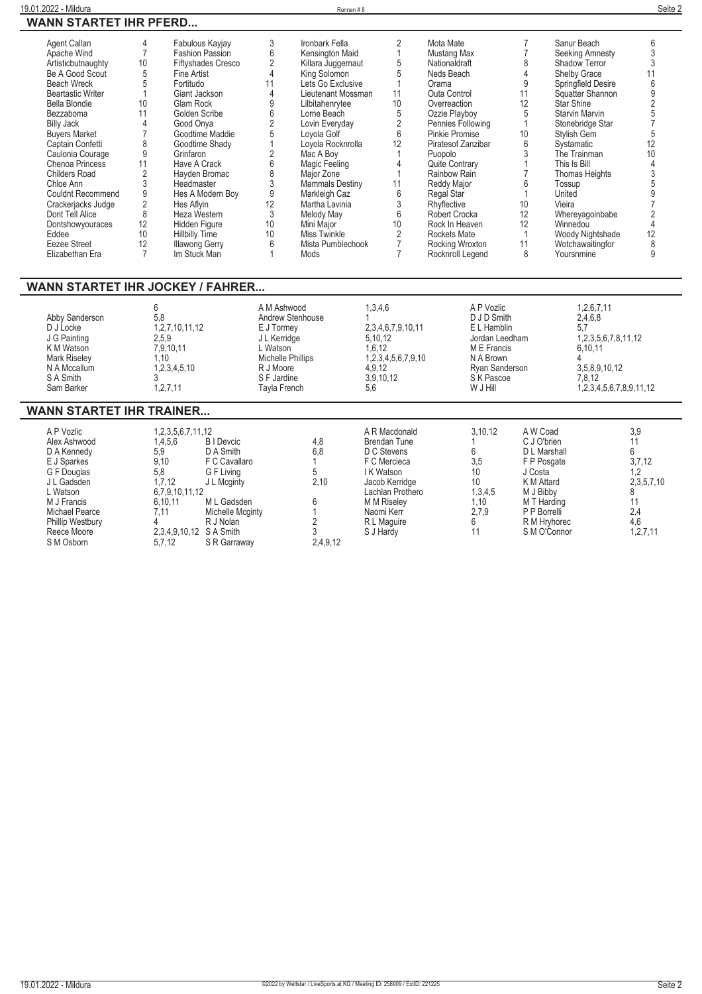| Agent Callan             |    | Fabulous Kayjay           |    | Ironbark Fella         |                 | Mota Mate             |    | Sanur Beach        |    |
|--------------------------|----|---------------------------|----|------------------------|-----------------|-----------------------|----|--------------------|----|
| Apache Wind              |    | <b>Fashion Passion</b>    |    | Kensington Maid        |                 | Mustang Max           |    | Seeking Amnesty    |    |
| Artisticbutnaughty       | 10 | <b>Fiftyshades Cresco</b> |    | Killara Juggernaut     |                 | Nationaldraft         | ጸ  | Shadow Terror      |    |
| Be A Good Scout          | 5  | Fine Artist               |    | King Solomon           |                 | Neds Beach            |    | Shelby Grace       |    |
| <b>Beach Wreck</b>       |    | Fortitudo                 |    | Lets Go Exclusive      |                 | Orama                 |    | Springfield Desire |    |
| <b>Beartastic Writer</b> |    | Giant Jackson             |    | Lieutenant Mossman     |                 | <b>Outa Control</b>   |    | Squatter Shannon   |    |
|                          |    |                           |    |                        |                 |                       |    |                    |    |
| Bella Blondie            | 10 | Glam Rock                 |    | Lilbitahenrytee        | 10 <sup>1</sup> | Overreaction          | 12 | Star Shine         |    |
| Bezzaboma                | 11 | Golden Scribe             |    | Lorne Beach            |                 | Ozzie Playboy         |    | Starvin Marvin     |    |
| <b>Billy Jack</b>        |    | Good Onya                 |    | Lovin Everyday         |                 | Pennies Following     |    | Stonebridge Star   |    |
| <b>Buyers Market</b>     |    | Goodtime Maddie           |    | Lovola Golf            |                 | <b>Pinkie Promise</b> | 10 | Stylish Gem        |    |
| Captain Confetti         | 8  | Goodtime Shady            |    | Loyola Rocknrolla      |                 | Piratesof Zanzibar    | 6  | Systamatic         | 12 |
| Caulonia Courage         |    | Grinfaron                 |    | Mac A Boy              |                 | Puopolo               |    | The Trainman       | 10 |
| <b>Chenoa Princess</b>   | 11 | Have A Crack              |    | Magic Feeling          |                 | <b>Quite Contrary</b> |    | This Is Bill       |    |
| <b>Childers Road</b>     |    | Hayden Bromac             |    | Major Zone             |                 | Rainbow Rain          |    | Thomas Heights     |    |
| Chloe Ann                |    | Headmaster                |    | <b>Mammals Destiny</b> |                 | Reddy Major           |    | Tossup             |    |
| <b>Couldnt Recommend</b> | 9  | Hes A Modern Boy          |    | Markleigh Caz          |                 | Regal Star            |    | United             |    |
| Crackerjacks Judge       |    | Hes Aflyin                | 12 | Martha Lavinia         |                 | Rhyflective           | 10 | Vieira             |    |
| Dont Tell Alice          | 8  | Heza Western              |    | Melody May             |                 | Robert Crocka         | 12 | Whereyagoinbabe    |    |
| Dontshowyouraces         | 12 | Hidden Figure             | 10 | Mini Major             | 10              | Rock In Heaven        | 12 | Winnedou           |    |
| Eddee                    | 10 | <b>Hillbilly Time</b>     | 10 | Miss Twinkle           |                 | Rockets Mate          |    | Woody Nightshade   | 12 |
| Eezee Street             | 12 | <b>Illawong Gerry</b>     |    | Mista Pumblechook      |                 | Rocking Wroxton       |    | Wotchawaitingfor   |    |
| Elizabethan Era          |    | Im Stuck Man              |    | Mods                   |                 | Rocknroll Legend      | 8  | Yoursnmine         |    |
|                          |    |                           |    |                        |                 |                       |    |                    |    |

## **WANN STARTET IHR JOCKEY / FAHRER...**

| 5.8<br>Abby Sanderson<br>1, 2, 7, 10, 11, 12<br>D J Locke<br>J G Painting<br>2.5.9<br>K M Watson<br>7.9.10.11<br><b>Mark Riselev</b><br>.10<br>1, 2, 3, 4, 5, 10<br>N A Mccallum<br>S A Smith<br>.2.7.11<br>Sam Barker | A M Ashwood<br>Andrew Stenhouse<br>E J Tormey<br>J L Kerridge<br>. Watson<br>Michelle Phillips<br>R J Moore<br>S F Jardine<br>Tavla French | 1,3,4,6<br>2,3,4,6,7,9,10,11<br>5,10,12<br>1.6.12<br>1,2,3,4,5,6,7,9,10<br>4.9.12<br>3.9.10.12<br>5,6 | A P Vozlic<br>D J D Smith<br>E L Hamblin<br>Jordan Leedham<br>M E Francis<br>N A Brown<br>Rvan Sanderson<br>S K Pascoe<br>W J Hill | 1,2,6,7,11<br>2,4,6,8<br>5,7<br>1, 2, 3, 5, 6, 7, 8, 11, 12<br>6,10,11<br>3,5,8,9,10,12<br>7.8.12<br>1,2,3,4,5,6,7,8,9,11,12 |
|------------------------------------------------------------------------------------------------------------------------------------------------------------------------------------------------------------------------|--------------------------------------------------------------------------------------------------------------------------------------------|-------------------------------------------------------------------------------------------------------|------------------------------------------------------------------------------------------------------------------------------------|------------------------------------------------------------------------------------------------------------------------------|
|------------------------------------------------------------------------------------------------------------------------------------------------------------------------------------------------------------------------|--------------------------------------------------------------------------------------------------------------------------------------------|-------------------------------------------------------------------------------------------------------|------------------------------------------------------------------------------------------------------------------------------------|------------------------------------------------------------------------------------------------------------------------------|

## **WANN STARTET IHR TRAINER...**

| A P Vozlic              | 1,2,3,5,6,7,11,12      |                   |          | A R Macdonald      | 3.10.12 | A W Coad     | 3,9         |
|-------------------------|------------------------|-------------------|----------|--------------------|---------|--------------|-------------|
| Alex Ashwood            | 1,4,5,6                | <b>B</b> I Devcic | 4,8      | Brendan Tune       |         | C J O'brien  |             |
| D A Kennedy             | 5.9                    | D A Smith         | 6.8      | D C Stevens        |         | D L Marshall |             |
| E J Sparkes             | 9.10                   | F C Cavallaro     |          | F C Mercieca       | 3,5     | F P Posgate  | 3,7,12      |
| G F Douglas             | 5,8                    | G F Living        |          | I K Watson         | 10      | J Costa      | 1,2         |
| J L Gadsden             | 1,7,12                 | J L Mcginty       | 2,10     | Jacob Kerridge     | 10      | K M Attard   | 2,3,5,7,10  |
| L Watson                | 6,7,9,10,11,12         |                   |          | Lachlan Prothero   | 1,3,4,5 | M J Bibby    |             |
| M J Francis             | 6.10.11                | M L Gadsden       |          | <b>M M Riselev</b> | 1,10    | M T Harding  |             |
| Michael Pearce          | 7.11                   | Michelle Mcginty  |          | Naomi Kerr         | 2,7,9   | P P Borrelli | 2,4         |
| <b>Phillip Westbury</b> |                        | R J Nolan         |          | R L Maguire        |         | R M Hrvhorec | 4,6         |
| Reece Moore             | 2,3,4,9,10,12 SA Smith |                   |          | S J Hardy          |         | S M O'Connor | 1, 2, 7, 11 |
| S M Osborn              | 5.7.12                 | S R Garraway      | 2,4,9,12 |                    |         |              |             |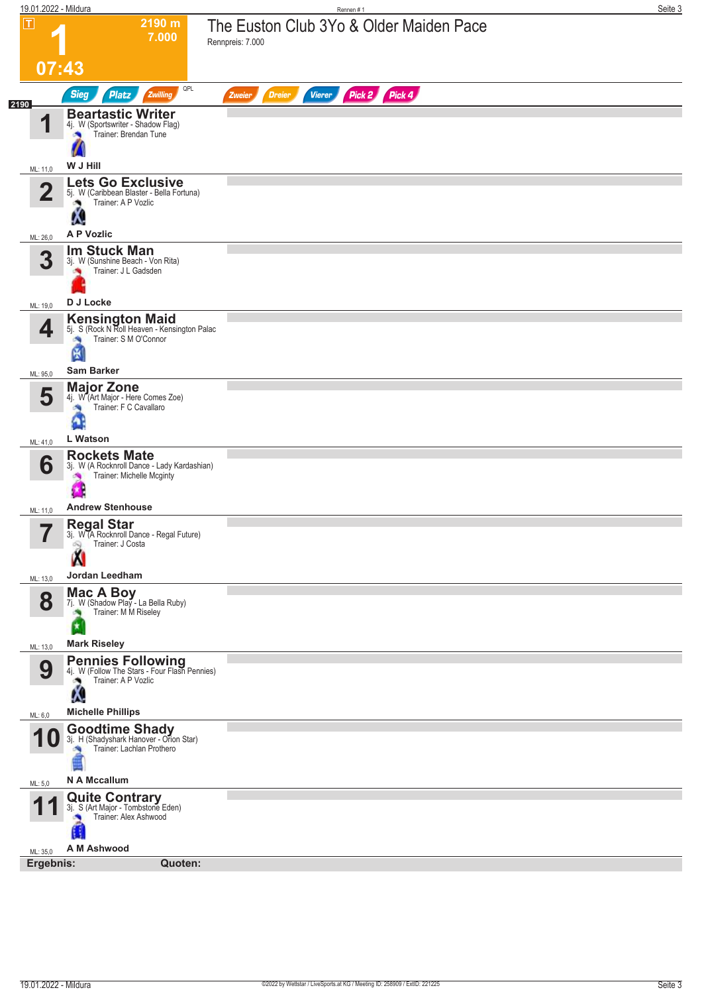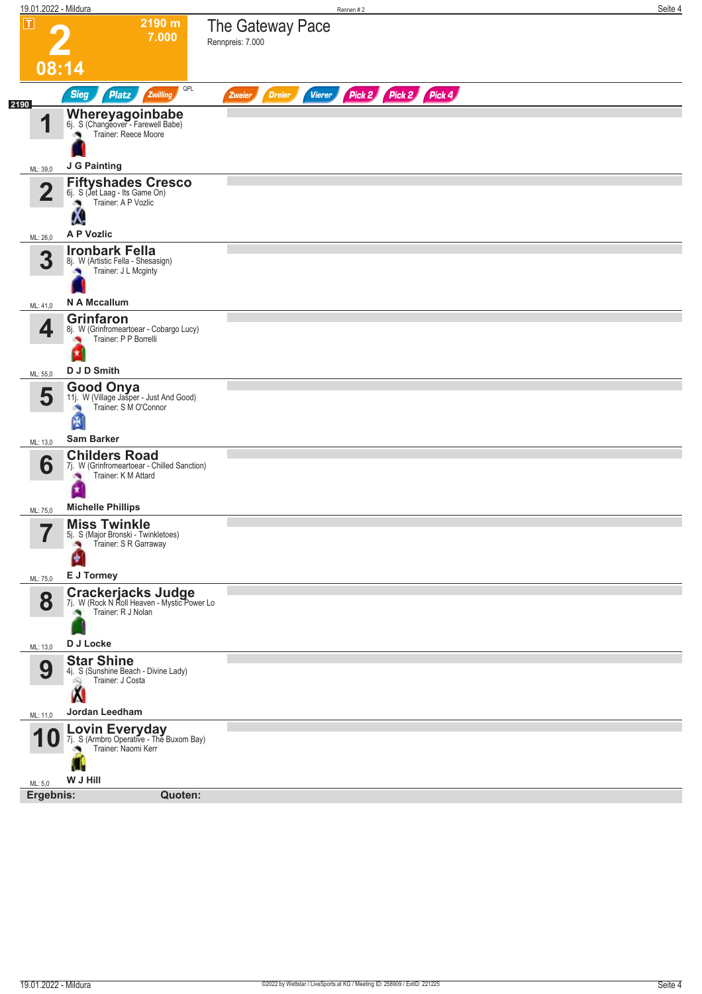| 19.01.2022 - Mildura    |                                                                                                         |                                                 | Rennen #2 |                      |  | Seite 4 |
|-------------------------|---------------------------------------------------------------------------------------------------------|-------------------------------------------------|-----------|----------------------|--|---------|
| $\boxed{\text{T}}$      | 2190 m<br>7.000                                                                                         | The Gateway Pace<br>Rennpreis: 7.000            |           |                      |  |         |
| 08:14                   |                                                                                                         |                                                 |           |                      |  |         |
| 2190                    | QPL<br><b>Sieg</b><br>Zwilling<br><b>Platz</b>                                                          | <b>Dreier</b><br><b>Vierer</b><br><b>Zweier</b> |           | Pick 2 Pick 2 Pick 4 |  |         |
| И                       | Whereyagoinbabe<br>6j. S (Changeover - Farewell Babe)<br>Trainer: Reece Moore                           |                                                 |           |                      |  |         |
| ML: 39,0                | J G Painting                                                                                            |                                                 |           |                      |  |         |
| $\overline{\mathbf{2}}$ | <b>Fiftyshades Cresco</b><br>6j. S (Jet Laag - Its Game On)<br>Trainer: A P Vozlic<br>Ø.<br>Ą.          |                                                 |           |                      |  |         |
| ML: 26,0                | A P Vozlic                                                                                              |                                                 |           |                      |  |         |
| 3                       | <b>Ironbark Fella</b><br>8j. W (Artistic Fella - Shesasign)<br>Trainer: J L Mcginty                     |                                                 |           |                      |  |         |
| ML: 41,0                | N A Mccallum                                                                                            |                                                 |           |                      |  |         |
| 4                       | <b>Grinfaron</b><br>8j. W (Grinfromeartoear - Cobargo Lucy)<br>Trainer: P P Borrelli                    |                                                 |           |                      |  |         |
| ML: 55,0                | D J D Smith                                                                                             |                                                 |           |                      |  |         |
| 5                       | <b>Good Onya</b><br>11j. W (Village Jasper - Just And Good)<br>Trainer: S M O'Connor<br>淘<br>圀          |                                                 |           |                      |  |         |
| ML: 13,0                | <b>Sam Barker</b>                                                                                       |                                                 |           |                      |  |         |
| 6                       | <b>Childers Road</b><br>7j. W (Grinfromeartoear - Chilled Sanction)<br>Trainer: K M Attard              |                                                 |           |                      |  |         |
| ML: 75,0                | <b>Michelle Phillips</b>                                                                                |                                                 |           |                      |  |         |
| 7<br>$\blacksquare$     | <b>Miss Twinkle</b><br>5j. S (Major Bronski - Twinkletoes)<br>Trainer: S R Garraway<br>J.<br>E J Tormey |                                                 |           |                      |  |         |
| ML: 75,0                |                                                                                                         |                                                 |           |                      |  |         |
| 8                       | <b>Crackerjacks Judge</b><br>7j. W (Rock N Roll Heaven - Mystic Power Lo<br>Trainer: R J Nolan          |                                                 |           |                      |  |         |
| ML: 13,0                | D J Locke                                                                                               |                                                 |           |                      |  |         |
| 9                       | <b>Star Shine</b><br>4j. S (Sunshine Beach - Divine Lady)<br>Trainer: J Costa<br>69                     |                                                 |           |                      |  |         |
| ML: 11,0                | Jordan Leedham                                                                                          |                                                 |           |                      |  |         |
| 10                      | Lovin Everyday<br>7j. S (Armbro Operative - The Buxom Bay)<br>Trainer: Naomi Kerr<br>a.                 |                                                 |           |                      |  |         |
| ML: 5,0                 | W J Hill                                                                                                |                                                 |           |                      |  |         |
| Ergebnis:               | Quoten:                                                                                                 |                                                 |           |                      |  |         |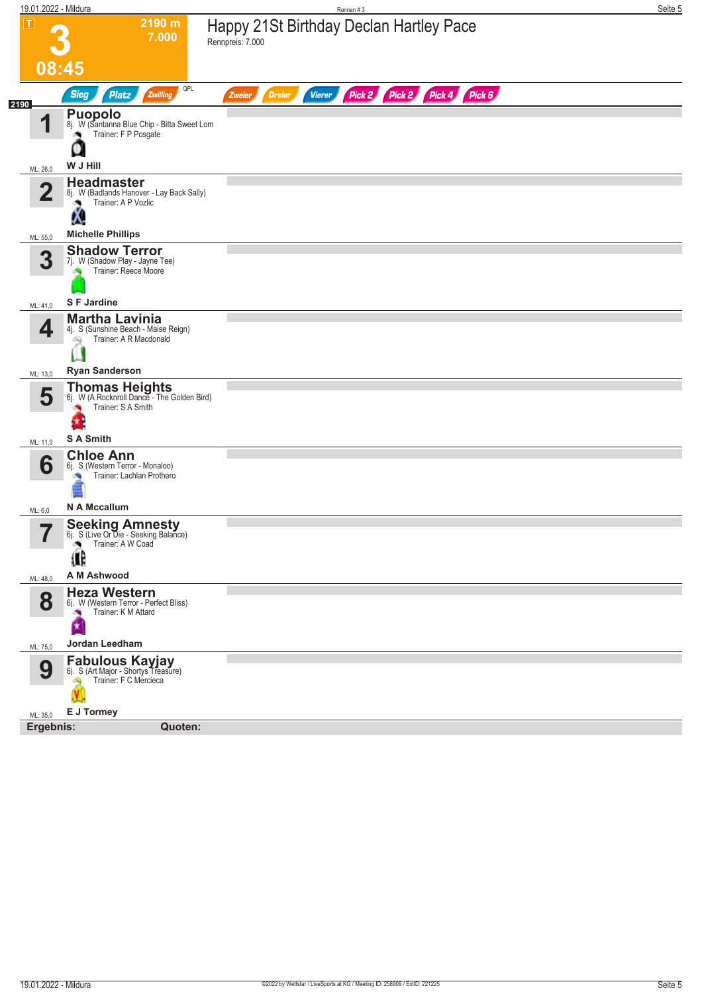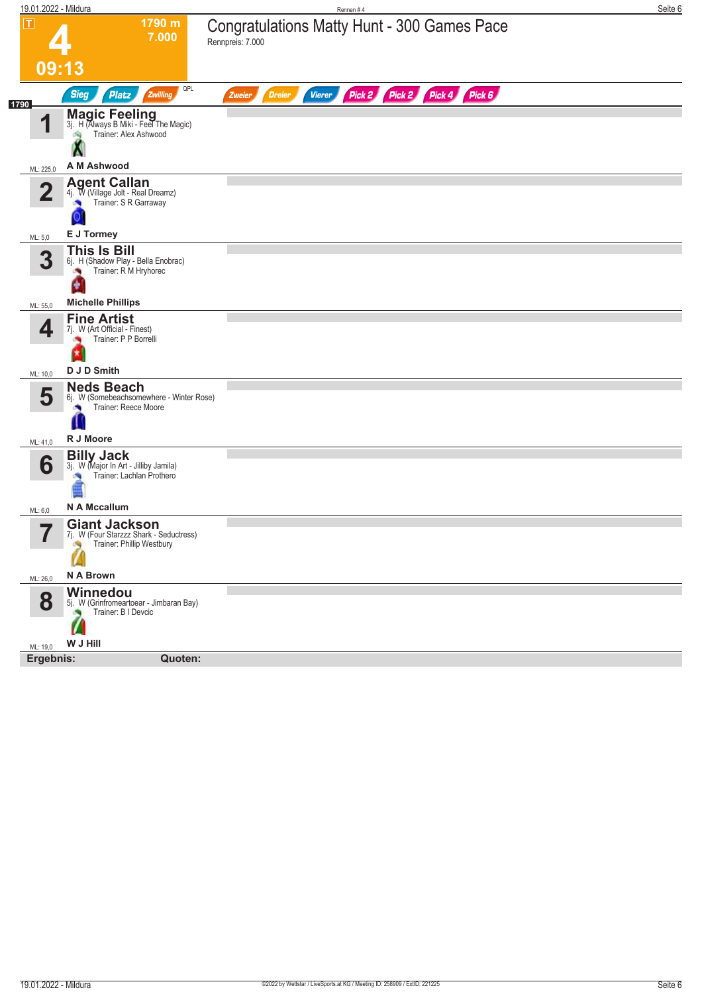| 19.01.2022 - Mildura                                                                |                                                                                  | Rennen#4                                                               | Seite 6 |
|-------------------------------------------------------------------------------------|----------------------------------------------------------------------------------|------------------------------------------------------------------------|---------|
| П<br>09:13                                                                          | 1790 m<br>7.000                                                                  | <b>Congratulations Matty Hunt - 300 Games Pace</b><br>Rennpreis: 7.000 |         |
| <b>Sieg</b>                                                                         | QPL<br><b>Platz</b><br>Zwilling                                                  | Pick 2 Pick 2 Pick 4 Pick 6<br>Vierer<br>Zweier<br><b>Dreier</b>       |         |
| 1790<br>И                                                                           | Magic Feeling<br>3j. H (Always B Miki - Feel The Magic)<br>Trainer: Alex Ashwood |                                                                        |         |
| A M Ashwood<br>ML: 225,0                                                            |                                                                                  |                                                                        |         |
| <b>Agent Callan</b><br>$\overline{2}$                                               | 4j. W (Village Jolt - Real Dreamz)<br>Trainer: S R Garraway                      |                                                                        |         |
| E J Tormey<br>ML: 5,0                                                               |                                                                                  |                                                                        |         |
| <b>This Is Bill</b><br>3<br>$\sim$<br>۴                                             | 6j. H (Shadow Play - Bella Enobrac)<br>Trainer: R M Hryhorec                     |                                                                        |         |
| <b>Michelle Phillips</b><br>ML: 55,0                                                |                                                                                  |                                                                        |         |
| <b>Fine Artist</b><br>4<br>7j. W (Art Official - Finest)<br>D J D Smith<br>ML: 10,0 | Trainer: P P Borrelli                                                            |                                                                        |         |
| <b>Neds Beach</b><br>5                                                              | 6j. W (Somebeachsomewhere - Winter Rose)<br>Trainer: Reece Moore                 |                                                                        |         |
| R J Moore<br>ML: 41,0                                                               |                                                                                  |                                                                        |         |
| <b>Billy Jack</b><br>6                                                              | 3j. W (Major In Art - Jilliby Jamila)<br>Trainer: Lachlan Prothero               |                                                                        |         |
| N A Mccallum<br>ML: 6,0                                                             |                                                                                  |                                                                        |         |
| <b>Giant Jackson</b><br>$\overline{\phantom{a}}$<br>ı                               | (J. W (Four Starzzz Shark - Seductress)<br>Trainer: Phillip Westbury             |                                                                        |         |
| N A Brown<br>ML: 26,0                                                               |                                                                                  |                                                                        |         |
| Winnedou<br>8                                                                       | 5j. W (Grinfromeartoear - Jimbaran Bay)<br>Trainer: B I Devcic                   |                                                                        |         |
| W J Hill<br>ML: 19,0                                                                |                                                                                  |                                                                        |         |
| Ergebnis:                                                                           | Quoten:                                                                          |                                                                        |         |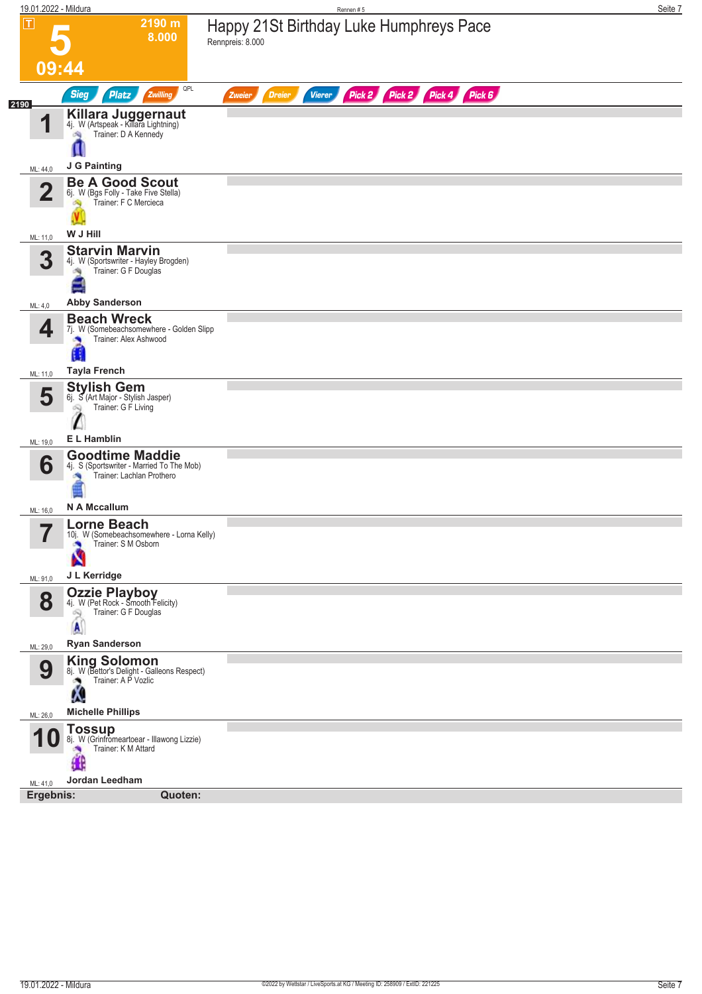| $\boxed{\text{T}}$<br>2190 m<br>Happy 21St Birthday Luke Humphreys Pace<br>8.000<br>Rennpreis: 8.000                              | Seite 7 |
|-----------------------------------------------------------------------------------------------------------------------------------|---------|
|                                                                                                                                   |         |
| 09:44                                                                                                                             |         |
| QPL<br>Pick 2 Pick 2 Pick 4 Pick 6<br><b>Sieg</b><br>Zwilling<br><b>Platz</b><br><b>Dreier</b><br><b>Vierer</b><br>Zweier<br>2190 |         |
| <b>Killara Juggernaut</b><br>4j. W (Artspeak - Killara Lightning)<br>И<br>Trainer: D A Kennedy<br>淘                               |         |
| J G Painting<br>ML: 44,0                                                                                                          |         |
| <b>Be A Good Scout</b><br>$\mathbf 2$<br>6j. W (Bgs Folly - Take Five Stella)<br>Trainer: F C Mercieca                            |         |
| W J Hill<br>ML: 11,0                                                                                                              |         |
| <b>Starvin Marvin</b><br>3<br>4j. W (Sportswriter - Hayley Brogden)<br>Trainer: G F Douglas                                       |         |
| <b>Abby Sanderson</b><br>ML: 4,0                                                                                                  |         |
| <b>Beach Wreck</b><br>4<br>7j. W (Somebeachsomewhere - Golden Slipp<br>Trainer: Alex Ashwood                                      |         |
| <b>Tayla French</b><br>ML: 11,0                                                                                                   |         |
| <b>Stylish Gem</b><br>5<br>6j. S (Art Major - Stylish Jasper)<br>Trainer: G F Living<br>œ,                                        |         |
| E L Hamblin<br>ML: 19,0                                                                                                           |         |
| <b>Goodtime Maddie</b><br>6<br>4j. S (Sportswriter - Married To The Mob)<br>Trainer: Lachlan Prothero                             |         |
| N A Mccallum<br>ML: 16,0                                                                                                          |         |
| <b>Lorne Beach</b><br>7<br>10j. W (Somebeachsomewhere - Lorna Kelly)<br>П<br>Trainer: S M Osborn                                  |         |
| J L Kerridge<br>ML: 91,0                                                                                                          |         |
| <b>Ozzie Playboy</b><br>4j. W (Pet Rock - Smooth Felicity)<br>8<br>Trainer: G F Douglas<br>Q<br>A                                 |         |
| <b>Ryan Sanderson</b><br>ML: 29,0                                                                                                 |         |
| King Solomon<br>8j. W (Bettor's Delight - Galleons Respect)<br>9<br>Trainer: A P Vozlic<br>Λ.                                     |         |
| <b>Michelle Phillips</b><br>ML: 26,0                                                                                              |         |
| Tossup<br>8j. W (Grinfromeartoear - Illawong Lizzie)<br>Trainer: K M Attard                                                       |         |
| Jordan Leedham<br>ML: 41,0                                                                                                        |         |
| Ergebnis:<br>Quoten:                                                                                                              |         |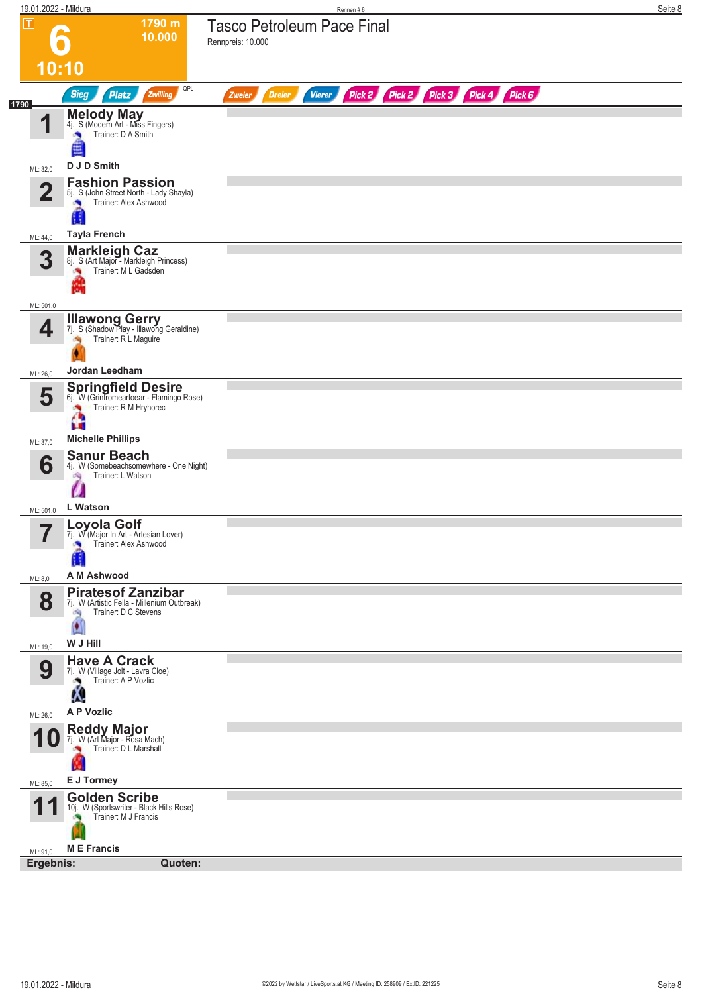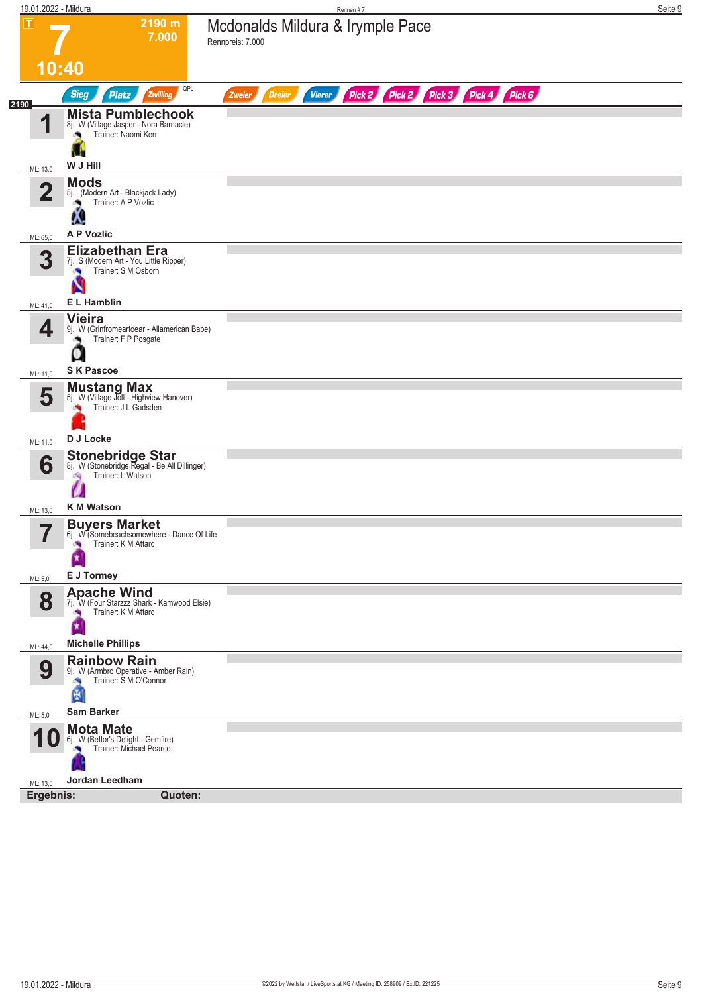| 19.01.2022 - Mildura          |                                                                                                           | Rennen #7                                                                                | Seite 9 |
|-------------------------------|-----------------------------------------------------------------------------------------------------------|------------------------------------------------------------------------------------------|---------|
| П                             | 2190 m<br>7.000                                                                                           | Mcdonalds Mildura & Irymple Pace<br>Rennpreis: 7.000                                     |         |
| 10:40                         |                                                                                                           |                                                                                          |         |
| 2190                          | QPL<br><b>Sieg</b><br><b>Platz</b><br>Zwilling                                                            | Pick 2 Pick 3 Pick 4 Pick 6<br>Pick 2<br><b>Dreier</b><br><b>Vierer</b><br><b>Zweier</b> |         |
| И                             | <b>Mista Pumblechook</b><br>8j. W (Village Jasper - Nora Barnacle)<br>Trainer: Naomi Kerr<br>a,           |                                                                                          |         |
| ML: 13,0                      | W J Hill                                                                                                  |                                                                                          |         |
| $\mathbf 2$                   | <b>Mods</b><br>5j. (Modern Art - Blackjack Lady)<br>Trainer: A P Vozlic                                   |                                                                                          |         |
| ML: 65,0                      | <b>A P Vozlic</b>                                                                                         |                                                                                          |         |
| 3                             | <b>Elizabethan Era</b><br>7j. S (Modern Art - You Little Ripper)<br>Trainer: S M Osborn<br><b>CO</b><br>N |                                                                                          |         |
| ML: 41,0                      | E L Hamblin                                                                                               |                                                                                          |         |
| 4                             | <b>Vieira</b><br>9j. W (Grinfromeartoear - Allamerican Babe)<br>Trainer: F P Posgate                      |                                                                                          |         |
| ML: 11,0                      | <b>SK Pascoe</b>                                                                                          |                                                                                          |         |
| 5                             | <b>Mustang Max</b><br>5j. W (Village Jolt - Highview Hanover)<br>Trainer: J L Gadsden                     |                                                                                          |         |
| ML: 11,0                      | D J Locke                                                                                                 |                                                                                          |         |
| 6                             | Stonebridge Star<br>8j. W (Stonebridge Regal - Be All Dillinger)<br>Trainer: L Watson<br>d.               |                                                                                          |         |
| ML: 13,0                      | <b>K M Watson</b>                                                                                         |                                                                                          |         |
| $\overline{\phantom{a}}$<br>″ | <b>Buyers Market</b><br>6j. W <sup>7</sup> Somebeachsomewhere - Dance Of Life<br>Trainer: K M Attard      |                                                                                          |         |
| ML: 5,0                       | E J Tormey                                                                                                |                                                                                          |         |
| 8                             | <b>Apache Wind</b><br>7j. W (Four Starzzz Shark - Kamwood Elsie)<br>Trainer: K M Attard<br>×<br>×         |                                                                                          |         |
| ML: 44,0                      | <b>Michelle Phillips</b>                                                                                  |                                                                                          |         |
| 9                             | <b>Rainbow Rain</b><br>9j. W (Armbro Operative - Amber Rain)<br>Trainer: S M O'Connor<br>图                |                                                                                          |         |
| ML: 5,0                       | <b>Sam Barker</b>                                                                                         |                                                                                          |         |
| U                             | <b>Mota Mate</b><br>6j. W (Bettor's Delight - Gemfire)<br>Trainer: Michael Pearce                         |                                                                                          |         |
| ML: 13,0                      | Jordan Leedham                                                                                            |                                                                                          |         |
| Ergebnis:                     | Quoten:                                                                                                   |                                                                                          |         |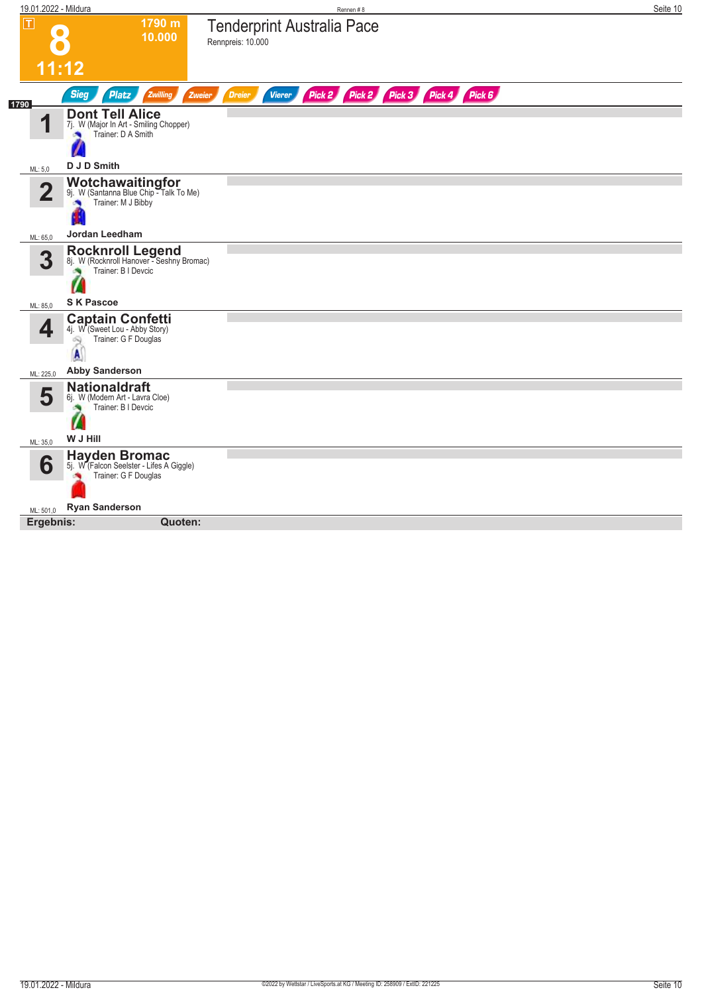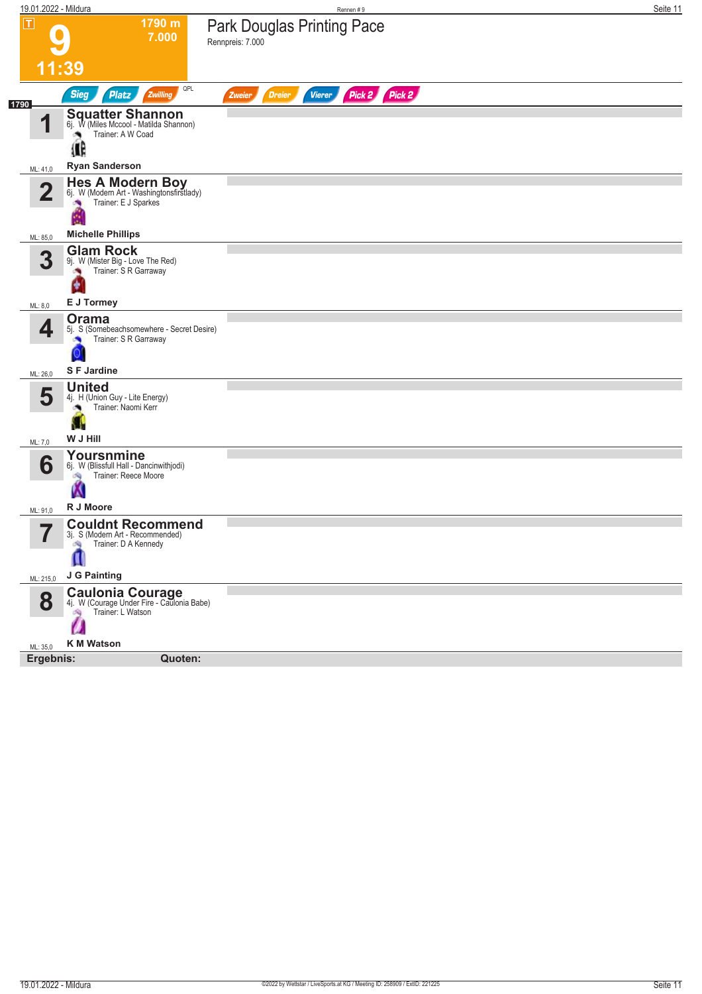| 19.01.2022 - Mildura                |                                                                                                      | Rennen#9                                                  | Seite 11 |
|-------------------------------------|------------------------------------------------------------------------------------------------------|-----------------------------------------------------------|----------|
| $ \mathsf{T} $                      | 1790 m<br>7.000                                                                                      | <b>Park Douglas Printing Pace</b><br>Rennpreis: 7.000     |          |
|                                     | 11:39                                                                                                |                                                           |          |
| 1790                                | QPL<br><b>Sieg</b><br><b>Platz</b><br>Zwilling                                                       | Pick 2 Pick 2<br><b>Vierer</b><br><b>Dreier</b><br>Zweier |          |
| И                                   | <b>Squatter Shannon</b><br>6j. W (Miles Mccool - Matilda Shannon)<br>Trainer: A W Coad<br>۸          |                                                           |          |
|                                     | Œ<br><b>Ryan Sanderson</b>                                                                           |                                                           |          |
| ML: 41,0<br>$\overline{\mathbf{2}}$ | Hes A Modern Boy<br>6j. W (Modern Art - Washingtonsfirstlady)<br>Trainer: E J Sparkes                |                                                           |          |
| ML: 85,0                            | <b>Michelle Phillips</b>                                                                             |                                                           |          |
| 3                                   | <b>Glam Rock</b><br>9j. W (Mister Big - Love The Red)<br>Trainer: S R Garraway                       |                                                           |          |
| ML: 8,0                             | E J Tormey                                                                                           |                                                           |          |
| 4                                   | Orama<br>5j. S (Somebeachsomewhere - Secret Desire)<br>Trainer: S R Garraway<br>×                    |                                                           |          |
| ML: 26,0                            | <b>SF Jardine</b>                                                                                    |                                                           |          |
| 5                                   | <b>United</b><br>4j. H (Union Guy - Lite Energy)<br>Trainer: Naomi Kerr<br>W J Hill                  |                                                           |          |
| ML: 7,0                             |                                                                                                      |                                                           |          |
| 6                                   | Yoursnmine<br>6j. W (Blissfull Hall - Dancinwithjodi)<br>Trainer: Reece Moore<br>淘<br>W<br>R J Moore |                                                           |          |
| ML: 91,0                            | <b>Couldnt Recommend</b>                                                                             |                                                           |          |
| $\rightarrow$                       | 3j. S (Modern Art - Recommended)<br>Trainer: D A Kennedy<br>淘<br>п<br>J G Painting                   |                                                           |          |
| ML: 215,0                           |                                                                                                      |                                                           |          |
| 8                                   | <b>Caulonia Courage</b><br>4j. W (Courage Under Fire - Caulonia Babe)<br>Trainer: L Watson           |                                                           |          |
| ML: 35,0                            | <b>K M Watson</b>                                                                                    |                                                           |          |
| Ergebnis:                           | Quoten:                                                                                              |                                                           |          |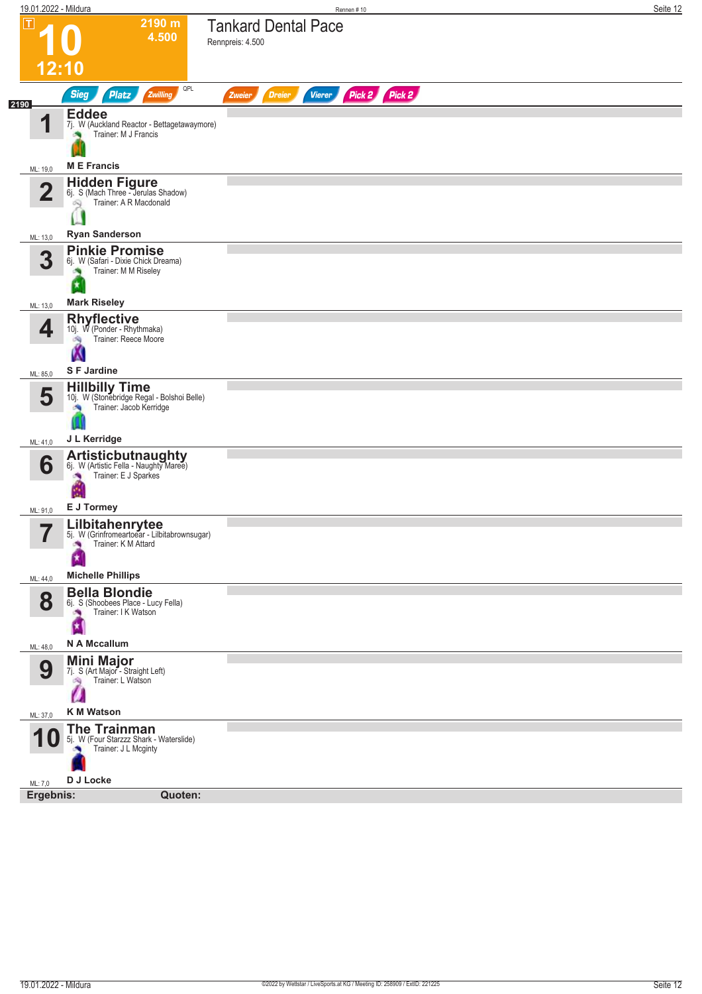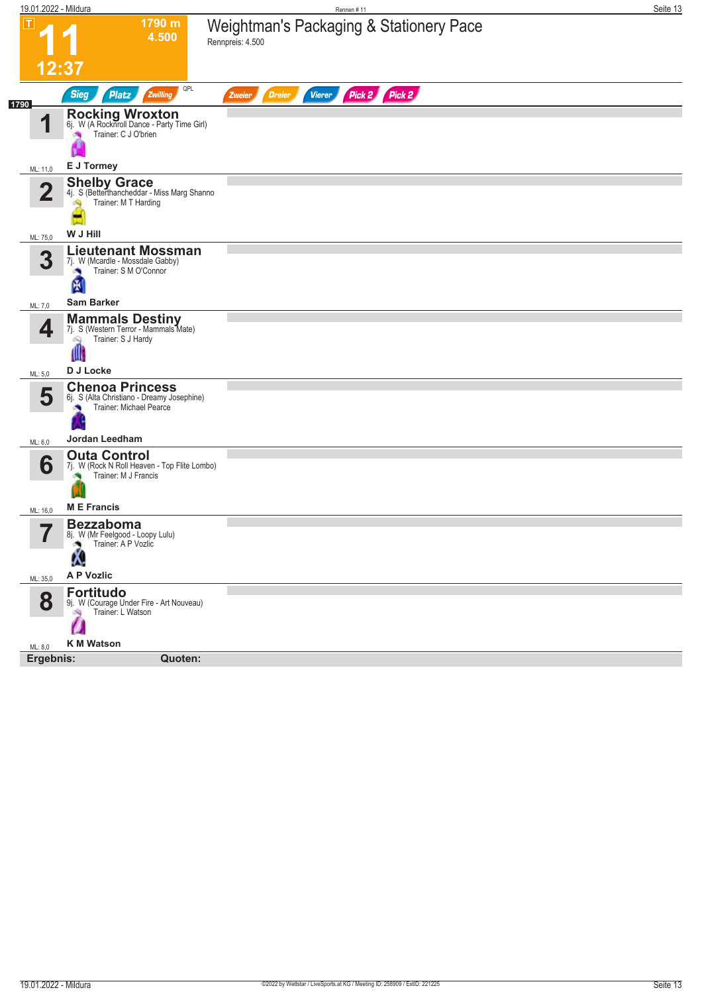| 19.01.2022 - Mildura |                                                                                                                   | Rennen #11                                                  | Seite 13 |
|----------------------|-------------------------------------------------------------------------------------------------------------------|-------------------------------------------------------------|----------|
| ΙΤ<br>12:37          | 1790 m<br>4.500                                                                                                   | Weightman's Packaging & Stationery Pace<br>Rennpreis: 4.500 |          |
|                      | QPL<br><b>Sieg</b><br><b>Platz</b><br>Zwilling                                                                    | Pick 2 Pick 2<br><b>Vierer</b><br><b>Dreier</b><br>Zweier   |          |
| 1790<br>1            | <b>Rocking Wroxton</b><br>6j. W (A Rocknroll Dance - Party Time Girl)<br>Trainer: C J O'brien<br><b>Sep</b><br>Ħ  |                                                             |          |
| ML: 11,0             | E J Tormey                                                                                                        |                                                             |          |
| $\overline{2}$       | <b>Shelby Grace</b><br>4j. S (Betterthancheddar - Miss Marg Shanno<br>Trainer: M T Harding<br>Ą                   |                                                             |          |
| ML: 75,0             | W J Hill                                                                                                          |                                                             |          |
| 3                    | <b>Lieutenant Mossman</b><br>7j. W (Mcardle - Mossdale Gabby)<br>Trainer: S M O'Connor<br>囹                       |                                                             |          |
| ML: 7,0              | Sam Barker                                                                                                        |                                                             |          |
| 4<br>ML: 5,0         | <b>Mammals Destiny</b><br>7j. S (Western Terror - Mammals Mate)<br>Trainer: S J Hardy<br>Q<br>W<br>D J Locke      |                                                             |          |
| 5                    | <b>Chenoa Princess</b><br>6j. S (Alta Christiano - Dreamy Josephine)<br>Trainer: Michael Pearce<br>Jordan Leedham |                                                             |          |
| ML: 6,0              | <b>Outa Control</b>                                                                                               |                                                             |          |
| 6<br>ML: 16,0        | 7j. W (Rock N Roll Heaven - Top Flite Lombo)<br>Trainer: M J Francis<br><b>ME</b> Francis                         |                                                             |          |
| 57<br>I              | <b>Bezzaboma</b><br>8j. W (Mr Feelgood - Loopy Lulu)<br>Trainer: A P Vozlic<br>Ą.                                 |                                                             |          |
| ML: 35,0             | A P Vozlic                                                                                                        |                                                             |          |
| 8                    | <b>Fortitudo</b><br>9j. W (Courage Under Fire - Art Nouveau)<br>Trainer: L Watson<br>沟<br>Ø                       |                                                             |          |
| ML: 8,0              | <b>K M Watson</b>                                                                                                 |                                                             |          |
| Ergebnis:            | Quoten:                                                                                                           |                                                             |          |